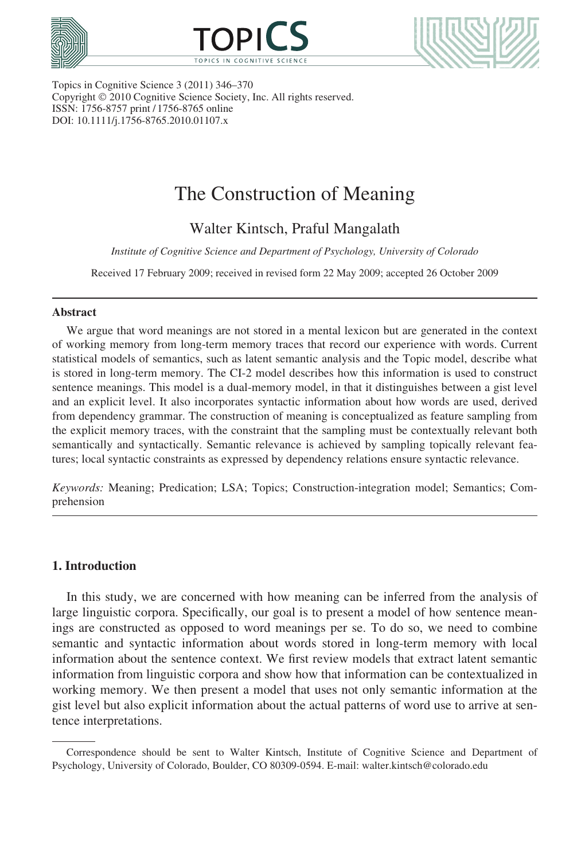





Topics in Cognitive Science 3 (2011) 346–370 Copyright © 2010 Cognitive Science Society, Inc. All rights reserved. ISSN: 1756-8757 print / 1756-8765 online DOI: 10.1111/j.1756-8765.2010.01107.x

# The Construction of Meaning

# Walter Kintsch, Praful Mangalath

Institute of Cognitive Science and Department of Psychology, University of Colorado

Received 17 February 2009; received in revised form 22 May 2009; accepted 26 October 2009

#### Abstract

We argue that word meanings are not stored in a mental lexicon but are generated in the context of working memory from long-term memory traces that record our experience with words. Current statistical models of semantics, such as latent semantic analysis and the Topic model, describe what is stored in long-term memory. The CI-2 model describes how this information is used to construct sentence meanings. This model is a dual-memory model, in that it distinguishes between a gist level and an explicit level. It also incorporates syntactic information about how words are used, derived from dependency grammar. The construction of meaning is conceptualized as feature sampling from the explicit memory traces, with the constraint that the sampling must be contextually relevant both semantically and syntactically. Semantic relevance is achieved by sampling topically relevant features; local syntactic constraints as expressed by dependency relations ensure syntactic relevance.

Keywords: Meaning; Predication; LSA; Topics; Construction-integration model; Semantics; Comprehension

# 1. Introduction

In this study, we are concerned with how meaning can be inferred from the analysis of large linguistic corpora. Specifically, our goal is to present a model of how sentence meanings are constructed as opposed to word meanings per se. To do so, we need to combine semantic and syntactic information about words stored in long-term memory with local information about the sentence context. We first review models that extract latent semantic information from linguistic corpora and show how that information can be contextualized in working memory. We then present a model that uses not only semantic information at the gist level but also explicit information about the actual patterns of word use to arrive at sentence interpretations.

Correspondence should be sent to Walter Kintsch, Institute of Cognitive Science and Department of Psychology, University of Colorado, Boulder, CO 80309-0594. E-mail: walter.kintsch@colorado.edu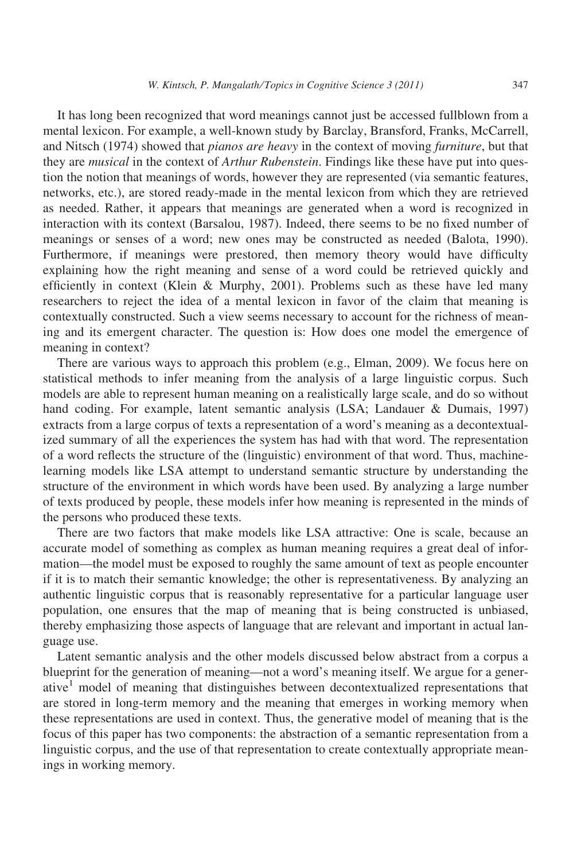It has long been recognized that word meanings cannot just be accessed fullblown from a mental lexicon. For example, a well-known study by Barclay, Bransford, Franks, McCarrell, and Nitsch (1974) showed that pianos are heavy in the context of moving furniture, but that they are *musical* in the context of *Arthur Rubenstein*. Findings like these have put into question the notion that meanings of words, however they are represented (via semantic features, networks, etc.), are stored ready-made in the mental lexicon from which they are retrieved as needed. Rather, it appears that meanings are generated when a word is recognized in interaction with its context (Barsalou, 1987). Indeed, there seems to be no fixed number of meanings or senses of a word; new ones may be constructed as needed (Balota, 1990). Furthermore, if meanings were prestored, then memory theory would have difficulty explaining how the right meaning and sense of a word could be retrieved quickly and efficiently in context (Klein & Murphy, 2001). Problems such as these have led many researchers to reject the idea of a mental lexicon in favor of the claim that meaning is contextually constructed. Such a view seems necessary to account for the richness of meaning and its emergent character. The question is: How does one model the emergence of meaning in context?

There are various ways to approach this problem (e.g., Elman, 2009). We focus here on statistical methods to infer meaning from the analysis of a large linguistic corpus. Such models are able to represent human meaning on a realistically large scale, and do so without hand coding. For example, latent semantic analysis (LSA; Landauer & Dumais, 1997) extracts from a large corpus of texts a representation of a word's meaning as a decontextualized summary of all the experiences the system has had with that word. The representation of a word reflects the structure of the (linguistic) environment of that word. Thus, machinelearning models like LSA attempt to understand semantic structure by understanding the structure of the environment in which words have been used. By analyzing a large number of texts produced by people, these models infer how meaning is represented in the minds of the persons who produced these texts.

There are two factors that make models like LSA attractive: One is scale, because an accurate model of something as complex as human meaning requires a great deal of information—the model must be exposed to roughly the same amount of text as people encounter if it is to match their semantic knowledge; the other is representativeness. By analyzing an authentic linguistic corpus that is reasonably representative for a particular language user population, one ensures that the map of meaning that is being constructed is unbiased, thereby emphasizing those aspects of language that are relevant and important in actual language use.

Latent semantic analysis and the other models discussed below abstract from a corpus a blueprint for the generation of meaning—not a word's meaning itself. We argue for a generative<sup>1</sup> model of meaning that distinguishes between decontextualized representations that are stored in long-term memory and the meaning that emerges in working memory when these representations are used in context. Thus, the generative model of meaning that is the focus of this paper has two components: the abstraction of a semantic representation from a linguistic corpus, and the use of that representation to create contextually appropriate meanings in working memory.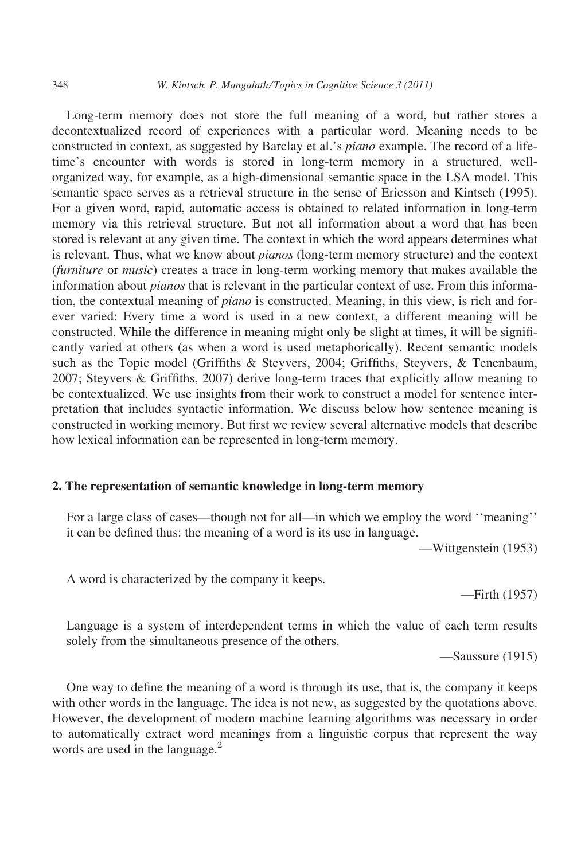Long-term memory does not store the full meaning of a word, but rather stores a decontextualized record of experiences with a particular word. Meaning needs to be constructed in context, as suggested by Barclay et al.'s *piano* example. The record of a lifetime's encounter with words is stored in long-term memory in a structured, wellorganized way, for example, as a high-dimensional semantic space in the LSA model. This semantic space serves as a retrieval structure in the sense of Ericsson and Kintsch (1995). For a given word, rapid, automatic access is obtained to related information in long-term memory via this retrieval structure. But not all information about a word that has been stored is relevant at any given time. The context in which the word appears determines what is relevant. Thus, what we know about *pianos* (long-term memory structure) and the context (furniture or music) creates a trace in long-term working memory that makes available the information about pianos that is relevant in the particular context of use. From this information, the contextual meaning of *piano* is constructed. Meaning, in this view, is rich and forever varied: Every time a word is used in a new context, a different meaning will be constructed. While the difference in meaning might only be slight at times, it will be significantly varied at others (as when a word is used metaphorically). Recent semantic models such as the Topic model (Griffiths & Steyvers, 2004; Griffiths, Steyvers, & Tenenbaum, 2007; Steyvers & Griffiths, 2007) derive long-term traces that explicitly allow meaning to be contextualized. We use insights from their work to construct a model for sentence interpretation that includes syntactic information. We discuss below how sentence meaning is constructed in working memory. But first we review several alternative models that describe how lexical information can be represented in long-term memory.

#### 2. The representation of semantic knowledge in long-term memory

For a large class of cases—though not for all—in which we employ the word ''meaning'' it can be defined thus: the meaning of a word is its use in language.

—Wittgenstein (1953)

A word is characterized by the company it keeps.

—Firth (1957)

Language is a system of interdependent terms in which the value of each term results solely from the simultaneous presence of the others.

—Saussure (1915)

One way to define the meaning of a word is through its use, that is, the company it keeps with other words in the language. The idea is not new, as suggested by the quotations above. However, the development of modern machine learning algorithms was necessary in order to automatically extract word meanings from a linguistic corpus that represent the way words are used in the language.<sup>2</sup>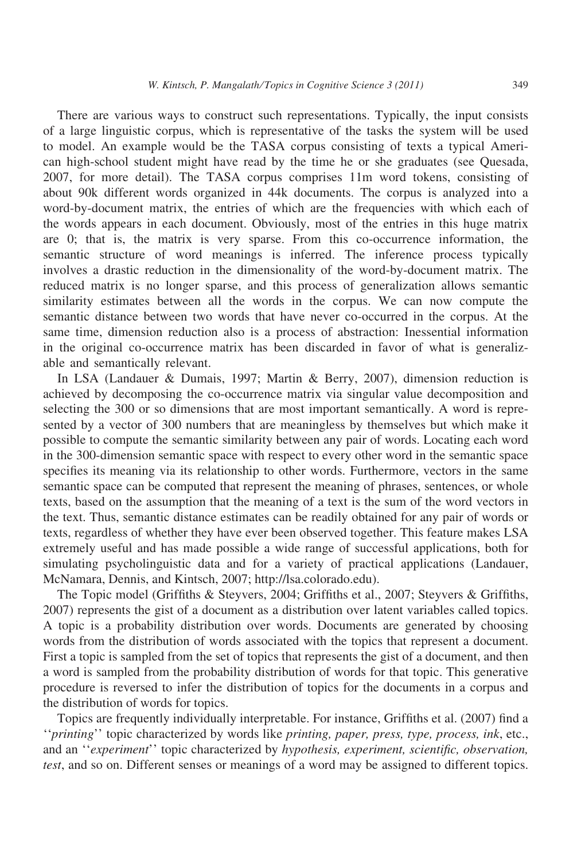There are various ways to construct such representations. Typically, the input consists of a large linguistic corpus, which is representative of the tasks the system will be used to model. An example would be the TASA corpus consisting of texts a typical American high-school student might have read by the time he or she graduates (see Quesada, 2007, for more detail). The TASA corpus comprises 11m word tokens, consisting of about 90k different words organized in 44k documents. The corpus is analyzed into a word-by-document matrix, the entries of which are the frequencies with which each of the words appears in each document. Obviously, most of the entries in this huge matrix are 0; that is, the matrix is very sparse. From this co-occurrence information, the semantic structure of word meanings is inferred. The inference process typically involves a drastic reduction in the dimensionality of the word-by-document matrix. The reduced matrix is no longer sparse, and this process of generalization allows semantic similarity estimates between all the words in the corpus. We can now compute the semantic distance between two words that have never co-occurred in the corpus. At the same time, dimension reduction also is a process of abstraction: Inessential information in the original co-occurrence matrix has been discarded in favor of what is generalizable and semantically relevant.

In LSA (Landauer & Dumais, 1997; Martin & Berry, 2007), dimension reduction is achieved by decomposing the co-occurrence matrix via singular value decomposition and selecting the 300 or so dimensions that are most important semantically. A word is represented by a vector of 300 numbers that are meaningless by themselves but which make it possible to compute the semantic similarity between any pair of words. Locating each word in the 300-dimension semantic space with respect to every other word in the semantic space specifies its meaning via its relationship to other words. Furthermore, vectors in the same semantic space can be computed that represent the meaning of phrases, sentences, or whole texts, based on the assumption that the meaning of a text is the sum of the word vectors in the text. Thus, semantic distance estimates can be readily obtained for any pair of words or texts, regardless of whether they have ever been observed together. This feature makes LSA extremely useful and has made possible a wide range of successful applications, both for simulating psycholinguistic data and for a variety of practical applications (Landauer, McNamara, Dennis, and Kintsch, 2007; http://lsa.colorado.edu).

The Topic model (Griffiths & Steyvers, 2004; Griffiths et al., 2007; Steyvers & Griffiths, 2007) represents the gist of a document as a distribution over latent variables called topics. A topic is a probability distribution over words. Documents are generated by choosing words from the distribution of words associated with the topics that represent a document. First a topic is sampled from the set of topics that represents the gist of a document, and then a word is sampled from the probability distribution of words for that topic. This generative procedure is reversed to infer the distribution of topics for the documents in a corpus and the distribution of words for topics.

Topics are frequently individually interpretable. For instance, Griffiths et al. (2007) find a ''printing'' topic characterized by words like printing, paper, press, type, process, ink, etc., and an ''experiment'' topic characterized by hypothesis, experiment, scientific, observation, test, and so on. Different senses or meanings of a word may be assigned to different topics.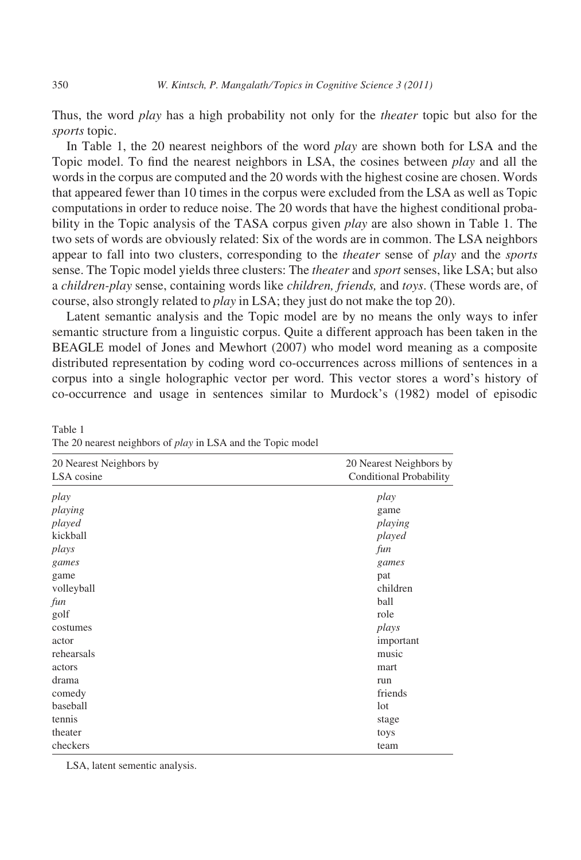Thus, the word *play* has a high probability not only for the *theater* topic but also for the sports topic.

In Table 1, the 20 nearest neighbors of the word *play* are shown both for LSA and the Topic model. To find the nearest neighbors in LSA, the cosines between *play* and all the words in the corpus are computed and the 20 words with the highest cosine are chosen. Words that appeared fewer than 10 times in the corpus were excluded from the LSA as well as Topic computations in order to reduce noise. The 20 words that have the highest conditional probability in the Topic analysis of the TASA corpus given *play* are also shown in Table 1. The two sets of words are obviously related: Six of the words are in common. The LSA neighbors appear to fall into two clusters, corresponding to the *theater* sense of *play* and the *sports* sense. The Topic model yields three clusters: The *theater* and *sport* senses, like LSA; but also a children-play sense, containing words like children, friends, and toys. (These words are, of course, also strongly related to *play* in LSA; they just do not make the top 20).

Latent semantic analysis and the Topic model are by no means the only ways to infer semantic structure from a linguistic corpus. Quite a different approach has been taken in the BEAGLE model of Jones and Mewhort (2007) who model word meaning as a composite distributed representation by coding word co-occurrences across millions of sentences in a corpus into a single holographic vector per word. This vector stores a word's history of co-occurrence and usage in sentences similar to Murdock's (1982) model of episodic

| 20 Nearest Neighbors by<br>LSA cosine | 20 Nearest Neighbors by<br><b>Conditional Probability</b> |
|---------------------------------------|-----------------------------------------------------------|
| play                                  | play                                                      |
| playing                               | game                                                      |
|                                       |                                                           |
| played                                | playing                                                   |
| kickball                              | played                                                    |
| plays                                 | fun                                                       |
| games                                 | games                                                     |
| game                                  | pat                                                       |
| volleyball                            | children                                                  |
| fun                                   | ball                                                      |
| golf                                  | role                                                      |
| costumes                              | plays                                                     |
| actor                                 | important                                                 |
| rehearsals                            | music                                                     |
| actors                                | mart                                                      |
| drama                                 | run                                                       |
| comedy                                | friends                                                   |
| baseball                              | lot                                                       |
| tennis                                | stage                                                     |
| theater                               | toys                                                      |
| checkers                              | team                                                      |

The 20 nearest neighbors of *play* in LSA and the Topic model

LSA, latent sementic analysis.

Table 1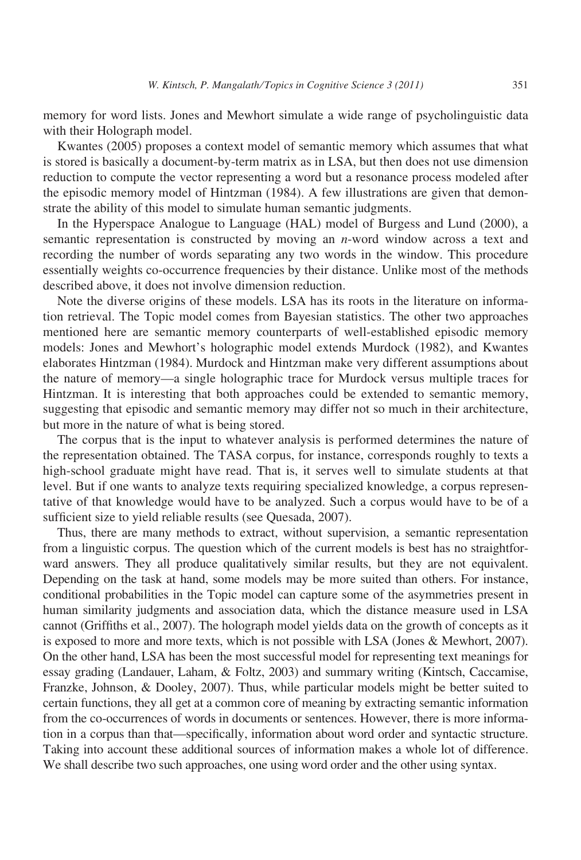memory for word lists. Jones and Mewhort simulate a wide range of psycholinguistic data with their Holograph model.

Kwantes (2005) proposes a context model of semantic memory which assumes that what is stored is basically a document-by-term matrix as in LSA, but then does not use dimension reduction to compute the vector representing a word but a resonance process modeled after the episodic memory model of Hintzman (1984). A few illustrations are given that demonstrate the ability of this model to simulate human semantic judgments.

In the Hyperspace Analogue to Language (HAL) model of Burgess and Lund (2000), a semantic representation is constructed by moving an n-word window across a text and recording the number of words separating any two words in the window. This procedure essentially weights co-occurrence frequencies by their distance. Unlike most of the methods described above, it does not involve dimension reduction.

Note the diverse origins of these models. LSA has its roots in the literature on information retrieval. The Topic model comes from Bayesian statistics. The other two approaches mentioned here are semantic memory counterparts of well-established episodic memory models: Jones and Mewhort's holographic model extends Murdock (1982), and Kwantes elaborates Hintzman (1984). Murdock and Hintzman make very different assumptions about the nature of memory—a single holographic trace for Murdock versus multiple traces for Hintzman. It is interesting that both approaches could be extended to semantic memory, suggesting that episodic and semantic memory may differ not so much in their architecture, but more in the nature of what is being stored.

The corpus that is the input to whatever analysis is performed determines the nature of the representation obtained. The TASA corpus, for instance, corresponds roughly to texts a high-school graduate might have read. That is, it serves well to simulate students at that level. But if one wants to analyze texts requiring specialized knowledge, a corpus representative of that knowledge would have to be analyzed. Such a corpus would have to be of a sufficient size to yield reliable results (see Quesada, 2007).

Thus, there are many methods to extract, without supervision, a semantic representation from a linguistic corpus. The question which of the current models is best has no straightforward answers. They all produce qualitatively similar results, but they are not equivalent. Depending on the task at hand, some models may be more suited than others. For instance, conditional probabilities in the Topic model can capture some of the asymmetries present in human similarity judgments and association data, which the distance measure used in LSA cannot (Griffiths et al., 2007). The holograph model yields data on the growth of concepts as it is exposed to more and more texts, which is not possible with LSA (Jones & Mewhort, 2007). On the other hand, LSA has been the most successful model for representing text meanings for essay grading (Landauer, Laham, & Foltz, 2003) and summary writing (Kintsch, Caccamise, Franzke, Johnson, & Dooley, 2007). Thus, while particular models might be better suited to certain functions, they all get at a common core of meaning by extracting semantic information from the co-occurrences of words in documents or sentences. However, there is more information in a corpus than that—specifically, information about word order and syntactic structure. Taking into account these additional sources of information makes a whole lot of difference. We shall describe two such approaches, one using word order and the other using syntax.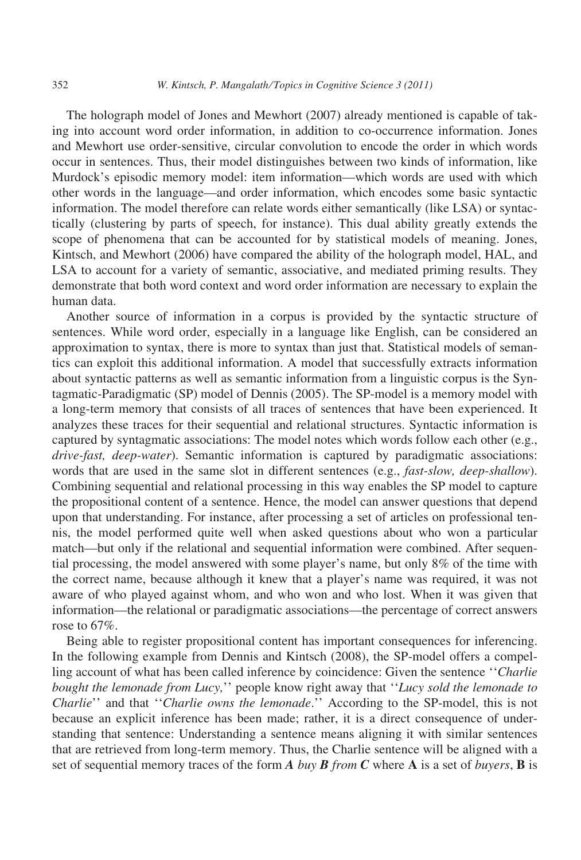The holograph model of Jones and Mewhort (2007) already mentioned is capable of taking into account word order information, in addition to co-occurrence information. Jones and Mewhort use order-sensitive, circular convolution to encode the order in which words occur in sentences. Thus, their model distinguishes between two kinds of information, like Murdock's episodic memory model: item information—which words are used with which other words in the language—and order information, which encodes some basic syntactic information. The model therefore can relate words either semantically (like LSA) or syntactically (clustering by parts of speech, for instance). This dual ability greatly extends the scope of phenomena that can be accounted for by statistical models of meaning. Jones, Kintsch, and Mewhort (2006) have compared the ability of the holograph model, HAL, and LSA to account for a variety of semantic, associative, and mediated priming results. They demonstrate that both word context and word order information are necessary to explain the human data.

Another source of information in a corpus is provided by the syntactic structure of sentences. While word order, especially in a language like English, can be considered an approximation to syntax, there is more to syntax than just that. Statistical models of semantics can exploit this additional information. A model that successfully extracts information about syntactic patterns as well as semantic information from a linguistic corpus is the Syntagmatic-Paradigmatic (SP) model of Dennis (2005). The SP-model is a memory model with a long-term memory that consists of all traces of sentences that have been experienced. It analyzes these traces for their sequential and relational structures. Syntactic information is captured by syntagmatic associations: The model notes which words follow each other (e.g., drive-fast, deep-water). Semantic information is captured by paradigmatic associations: words that are used in the same slot in different sentences (e.g., *fast-slow, deep-shallow*). Combining sequential and relational processing in this way enables the SP model to capture the propositional content of a sentence. Hence, the model can answer questions that depend upon that understanding. For instance, after processing a set of articles on professional tennis, the model performed quite well when asked questions about who won a particular match—but only if the relational and sequential information were combined. After sequential processing, the model answered with some player's name, but only 8% of the time with the correct name, because although it knew that a player's name was required, it was not aware of who played against whom, and who won and who lost. When it was given that information—the relational or paradigmatic associations—the percentage of correct answers rose to 67%.

Being able to register propositional content has important consequences for inferencing. In the following example from Dennis and Kintsch (2008), the SP-model offers a compelling account of what has been called inference by coincidence: Given the sentence ''Charlie bought the lemonade from Lucy," people know right away that "Lucy sold the lemonade to Charlie'' and that "Charlie owns the lemonade." According to the SP-model, this is not because an explicit inference has been made; rather, it is a direct consequence of understanding that sentence: Understanding a sentence means aligning it with similar sentences that are retrieved from long-term memory. Thus, the Charlie sentence will be aligned with a set of sequential memory traces of the form A buy B from C where A is a set of buyers, B is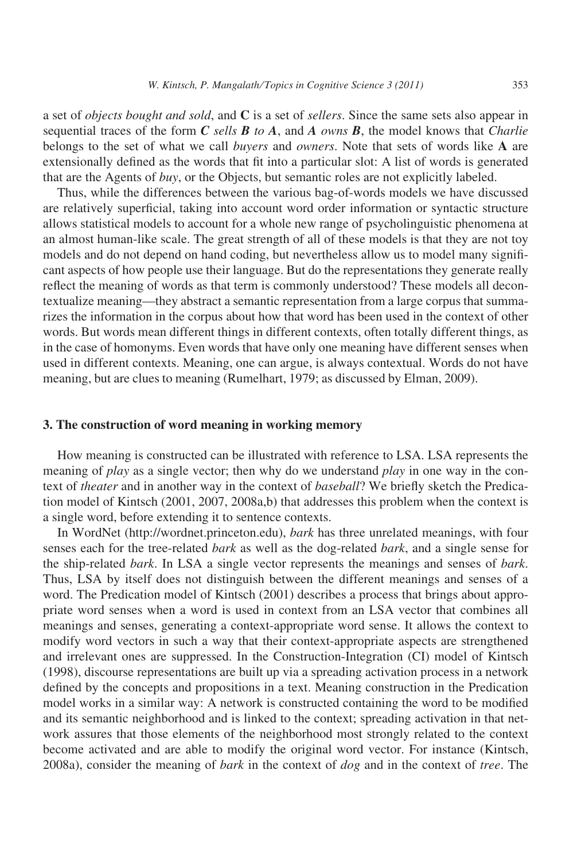a set of *objects bought and sold*, and  $C$  is a set of *sellers*. Since the same sets also appear in sequential traces of the form  $C$  sells  $B$  to  $A$ , and  $A$  owns  $B$ , the model knows that Charlie belongs to the set of what we call buyers and owners. Note that sets of words like A are extensionally defined as the words that fit into a particular slot: A list of words is generated that are the Agents of buy, or the Objects, but semantic roles are not explicitly labeled.

Thus, while the differences between the various bag-of-words models we have discussed are relatively superficial, taking into account word order information or syntactic structure allows statistical models to account for a whole new range of psycholinguistic phenomena at an almost human-like scale. The great strength of all of these models is that they are not toy models and do not depend on hand coding, but nevertheless allow us to model many significant aspects of how people use their language. But do the representations they generate really reflect the meaning of words as that term is commonly understood? These models all decontextualize meaning—they abstract a semantic representation from a large corpus that summarizes the information in the corpus about how that word has been used in the context of other words. But words mean different things in different contexts, often totally different things, as in the case of homonyms. Even words that have only one meaning have different senses when used in different contexts. Meaning, one can argue, is always contextual. Words do not have meaning, but are clues to meaning (Rumelhart, 1979; as discussed by Elman, 2009).

# 3. The construction of word meaning in working memory

How meaning is constructed can be illustrated with reference to LSA. LSA represents the meaning of play as a single vector; then why do we understand play in one way in the context of theater and in another way in the context of baseball? We briefly sketch the Predication model of Kintsch (2001, 2007, 2008a,b) that addresses this problem when the context is a single word, before extending it to sentence contexts.

In WordNet (http://wordnet.princeton.edu), bark has three unrelated meanings, with four senses each for the tree-related *bark* as well as the dog-related *bark*, and a single sense for the ship-related *bark*. In LSA a single vector represents the meanings and senses of *bark*. Thus, LSA by itself does not distinguish between the different meanings and senses of a word. The Predication model of Kintsch (2001) describes a process that brings about appropriate word senses when a word is used in context from an LSA vector that combines all meanings and senses, generating a context-appropriate word sense. It allows the context to modify word vectors in such a way that their context-appropriate aspects are strengthened and irrelevant ones are suppressed. In the Construction-Integration (CI) model of Kintsch (1998), discourse representations are built up via a spreading activation process in a network defined by the concepts and propositions in a text. Meaning construction in the Predication model works in a similar way: A network is constructed containing the word to be modified and its semantic neighborhood and is linked to the context; spreading activation in that network assures that those elements of the neighborhood most strongly related to the context become activated and are able to modify the original word vector. For instance (Kintsch, 2008a), consider the meaning of bark in the context of dog and in the context of tree. The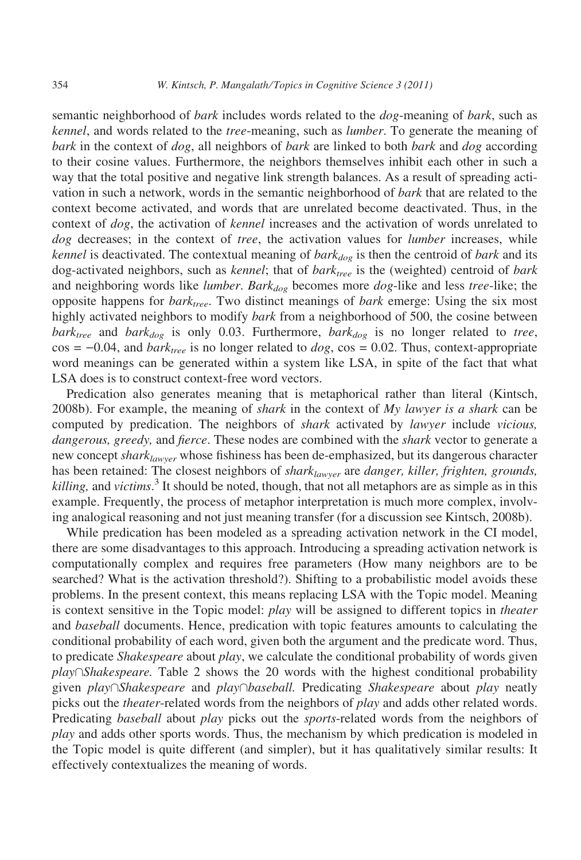semantic neighborhood of *bark* includes words related to the *dog*-meaning of *bark*, such as kennel, and words related to the tree-meaning, such as lumber. To generate the meaning of bark in the context of  $dog$ , all neighbors of *bark* are linked to both *bark* and  $dog$  according to their cosine values. Furthermore, the neighbors themselves inhibit each other in such a way that the total positive and negative link strength balances. As a result of spreading activation in such a network, words in the semantic neighborhood of bark that are related to the context become activated, and words that are unrelated become deactivated. Thus, in the context of *dog*, the activation of *kennel* increases and the activation of words unrelated to dog decreases; in the context of *tree*, the activation values for *lumber* increases, while kennel is deactivated. The contextual meaning of  $bark_{dog}$  is then the centroid of bark and its dog-activated neighbors, such as *kennel*; that of  $bark_{tree}$  is the (weighted) centroid of *bark* and neighboring words like *lumber*. Bark<sub>dog</sub> becomes more dog-like and less tree-like; the opposite happens for  $bark_{tree}$ . Two distinct meanings of *bark* emerge: Using the six most highly activated neighbors to modify *bark* from a neighborhood of 500, the cosine between barktree and bark<sub>dog</sub> is only 0.03. Furthermore, bark<sub>dog</sub> is no longer related to tree,  $\cos = -0.04$ , and  $\frac{bark_{tree}}{k}$  is no longer related to  $\frac{dog}{k}$ ,  $\cos = 0.02$ . Thus, context-appropriate word meanings can be generated within a system like LSA, in spite of the fact that what LSA does is to construct context-free word vectors.

Predication also generates meaning that is metaphorical rather than literal (Kintsch, 2008b). For example, the meaning of *shark* in the context of  $My$  lawyer is a shark can be computed by predication. The neighbors of *shark* activated by *lawyer* include *vicious*, dangerous, greedy, and fierce. These nodes are combined with the *shark* vector to generate a new concept sharklawyer whose fishiness has been de-emphasized, but its dangerous character has been retained: The closest neighbors of sharklawyer are danger, killer, frighten, grounds, killing, and victims.<sup>3</sup> It should be noted, though, that not all metaphors are as simple as in this example. Frequently, the process of metaphor interpretation is much more complex, involving analogical reasoning and not just meaning transfer (for a discussion see Kintsch, 2008b).

While predication has been modeled as a spreading activation network in the CI model, there are some disadvantages to this approach. Introducing a spreading activation network is computationally complex and requires free parameters (How many neighbors are to be searched? What is the activation threshold?). Shifting to a probabilistic model avoids these problems. In the present context, this means replacing LSA with the Topic model. Meaning is context sensitive in the Topic model: *play* will be assigned to different topics in *theater* and baseball documents. Hence, predication with topic features amounts to calculating the conditional probability of each word, given both the argument and the predicate word. Thus, to predicate *Shakespeare* about *play*, we calculate the conditional probability of words given  $play\cap Shakespeare$ . Table 2 shows the 20 words with the highest conditional probability given  $play\cap Shakespeare$  and  $play\cap baseball$ . Predicating *Shakespeare* about *play* neatly picks out the *theater*-related words from the neighbors of *play* and adds other related words. Predicating *baseball* about *play* picks out the *sports*-related words from the neighbors of play and adds other sports words. Thus, the mechanism by which predication is modeled in the Topic model is quite different (and simpler), but it has qualitatively similar results: It effectively contextualizes the meaning of words.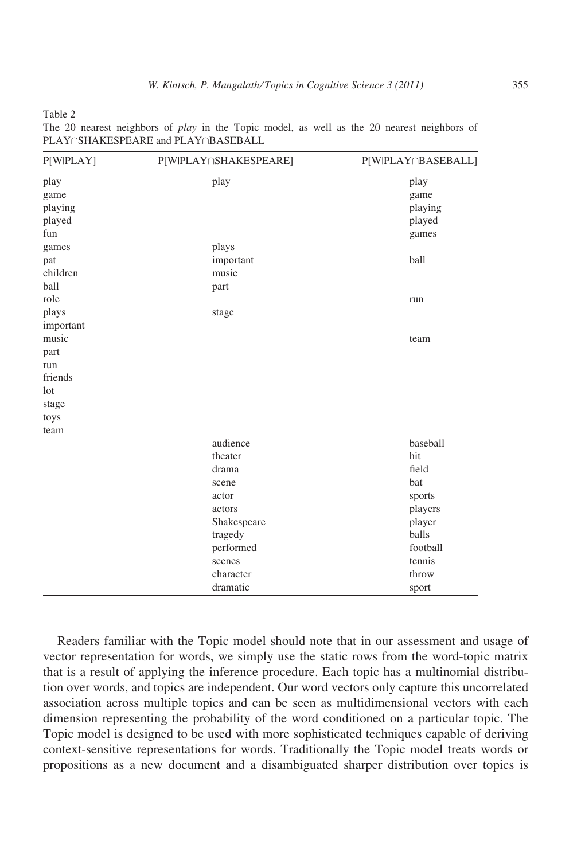Table 2

The 20 nearest neighbors of *play* in the Topic model, as well as the 20 nearest neighbors of PLAY\SHAKESPEARE and PLAY\BASEBALL

| P[W PLAY] | P[W PLAY∩SHAKESPEARE] | P[W PLAY∩BASEBALL] |
|-----------|-----------------------|--------------------|
| play      | play                  | play               |
| game      |                       | game               |
| playing   |                       | playing            |
| played    |                       | played             |
| fun       |                       | games              |
| games     | plays                 |                    |
| pat       | important             | ball               |
| children  | music                 |                    |
| ball      | part                  |                    |
| role      |                       | run                |
| plays     | stage                 |                    |
| important |                       |                    |
| music     |                       | team               |
| part      |                       |                    |
| run       |                       |                    |
| friends   |                       |                    |
| lot       |                       |                    |
| stage     |                       |                    |
| toys      |                       |                    |
| team      |                       |                    |
|           | audience              | baseball           |
|           | theater               | hit                |
|           | drama                 | field              |
|           | scene                 | bat                |
|           | actor                 | sports             |
|           | actors                | players            |
|           | Shakespeare           | player             |
|           | tragedy               | balls              |
|           | performed             | football           |
|           | scenes                | tennis             |
|           | character             | throw              |
|           | dramatic              | sport              |

Readers familiar with the Topic model should note that in our assessment and usage of vector representation for words, we simply use the static rows from the word-topic matrix that is a result of applying the inference procedure. Each topic has a multinomial distribution over words, and topics are independent. Our word vectors only capture this uncorrelated association across multiple topics and can be seen as multidimensional vectors with each dimension representing the probability of the word conditioned on a particular topic. The Topic model is designed to be used with more sophisticated techniques capable of deriving context-sensitive representations for words. Traditionally the Topic model treats words or propositions as a new document and a disambiguated sharper distribution over topics is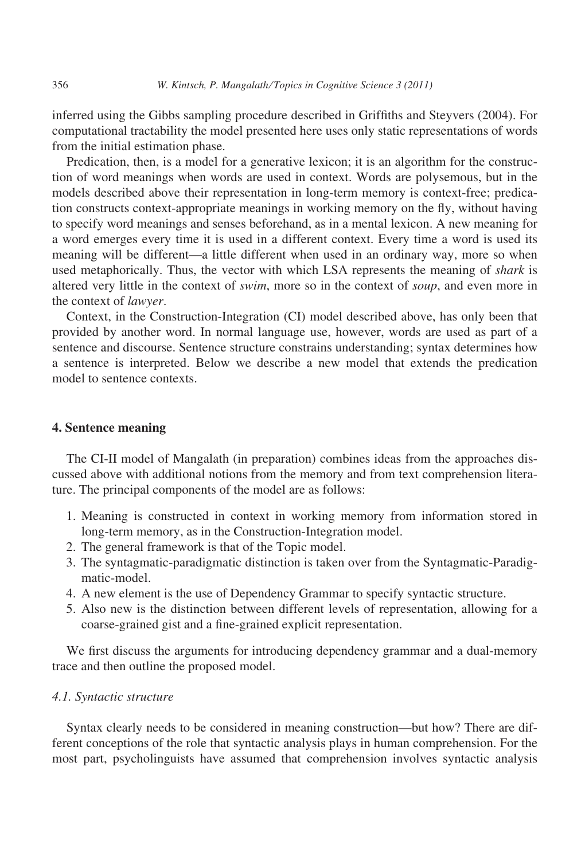inferred using the Gibbs sampling procedure described in Griffiths and Steyvers (2004). For computational tractability the model presented here uses only static representations of words from the initial estimation phase.

Predication, then, is a model for a generative lexicon; it is an algorithm for the construction of word meanings when words are used in context. Words are polysemous, but in the models described above their representation in long-term memory is context-free; predication constructs context-appropriate meanings in working memory on the fly, without having to specify word meanings and senses beforehand, as in a mental lexicon. A new meaning for a word emerges every time it is used in a different context. Every time a word is used its meaning will be different—a little different when used in an ordinary way, more so when used metaphorically. Thus, the vector with which LSA represents the meaning of shark is altered very little in the context of swim, more so in the context of soup, and even more in the context of lawyer.

Context, in the Construction-Integration (CI) model described above, has only been that provided by another word. In normal language use, however, words are used as part of a sentence and discourse. Sentence structure constrains understanding; syntax determines how a sentence is interpreted. Below we describe a new model that extends the predication model to sentence contexts.

# 4. Sentence meaning

The CI-II model of Mangalath (in preparation) combines ideas from the approaches discussed above with additional notions from the memory and from text comprehension literature. The principal components of the model are as follows:

- 1. Meaning is constructed in context in working memory from information stored in long-term memory, as in the Construction-Integration model.
- 2. The general framework is that of the Topic model.
- 3. The syntagmatic-paradigmatic distinction is taken over from the Syntagmatic-Paradigmatic-model.
- 4. A new element is the use of Dependency Grammar to specify syntactic structure.
- 5. Also new is the distinction between different levels of representation, allowing for a coarse-grained gist and a fine-grained explicit representation.

We first discuss the arguments for introducing dependency grammar and a dual-memory trace and then outline the proposed model.

# 4.1. Syntactic structure

Syntax clearly needs to be considered in meaning construction—but how? There are different conceptions of the role that syntactic analysis plays in human comprehension. For the most part, psycholinguists have assumed that comprehension involves syntactic analysis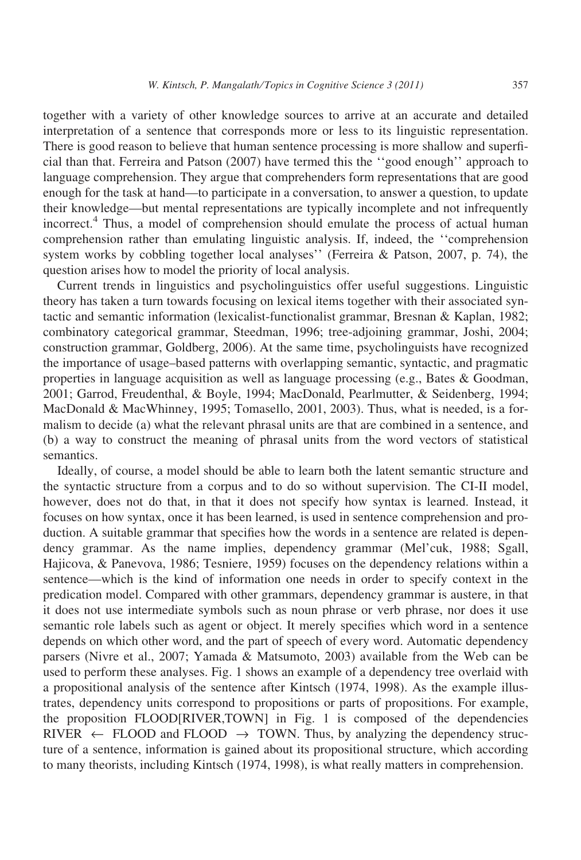together with a variety of other knowledge sources to arrive at an accurate and detailed interpretation of a sentence that corresponds more or less to its linguistic representation. There is good reason to believe that human sentence processing is more shallow and superficial than that. Ferreira and Patson (2007) have termed this the ''good enough'' approach to language comprehension. They argue that comprehenders form representations that are good enough for the task at hand—to participate in a conversation, to answer a question, to update their knowledge—but mental representations are typically incomplete and not infrequently incorrect.4 Thus, a model of comprehension should emulate the process of actual human comprehension rather than emulating linguistic analysis. If, indeed, the ''comprehension system works by cobbling together local analyses'' (Ferreira & Patson, 2007, p. 74), the question arises how to model the priority of local analysis.

Current trends in linguistics and psycholinguistics offer useful suggestions. Linguistic theory has taken a turn towards focusing on lexical items together with their associated syntactic and semantic information (lexicalist-functionalist grammar, Bresnan & Kaplan, 1982; combinatory categorical grammar, Steedman, 1996; tree-adjoining grammar, Joshi, 2004; construction grammar, Goldberg, 2006). At the same time, psycholinguists have recognized the importance of usage–based patterns with overlapping semantic, syntactic, and pragmatic properties in language acquisition as well as language processing (e.g., Bates & Goodman, 2001; Garrod, Freudenthal, & Boyle, 1994; MacDonald, Pearlmutter, & Seidenberg, 1994; MacDonald & MacWhinney, 1995; Tomasello, 2001, 2003). Thus, what is needed, is a formalism to decide (a) what the relevant phrasal units are that are combined in a sentence, and (b) a way to construct the meaning of phrasal units from the word vectors of statistical semantics.

Ideally, of course, a model should be able to learn both the latent semantic structure and the syntactic structure from a corpus and to do so without supervision. The CI-II model, however, does not do that, in that it does not specify how syntax is learned. Instead, it focuses on how syntax, once it has been learned, is used in sentence comprehension and production. A suitable grammar that specifies how the words in a sentence are related is dependency grammar. As the name implies, dependency grammar (Mel'cuk, 1988; Sgall, Hajicova, & Panevova, 1986; Tesniere, 1959) focuses on the dependency relations within a sentence—which is the kind of information one needs in order to specify context in the predication model. Compared with other grammars, dependency grammar is austere, in that it does not use intermediate symbols such as noun phrase or verb phrase, nor does it use semantic role labels such as agent or object. It merely specifies which word in a sentence depends on which other word, and the part of speech of every word. Automatic dependency parsers (Nivre et al., 2007; Yamada & Matsumoto, 2003) available from the Web can be used to perform these analyses. Fig. 1 shows an example of a dependency tree overlaid with a propositional analysis of the sentence after Kintsch (1974, 1998). As the example illustrates, dependency units correspond to propositions or parts of propositions. For example, the proposition FLOOD[RIVER,TOWN] in Fig. 1 is composed of the dependencies RIVER  $\leftarrow$  FLOOD and FLOOD  $\rightarrow$  TOWN. Thus, by analyzing the dependency structure of a sentence, information is gained about its propositional structure, which according to many theorists, including Kintsch (1974, 1998), is what really matters in comprehension.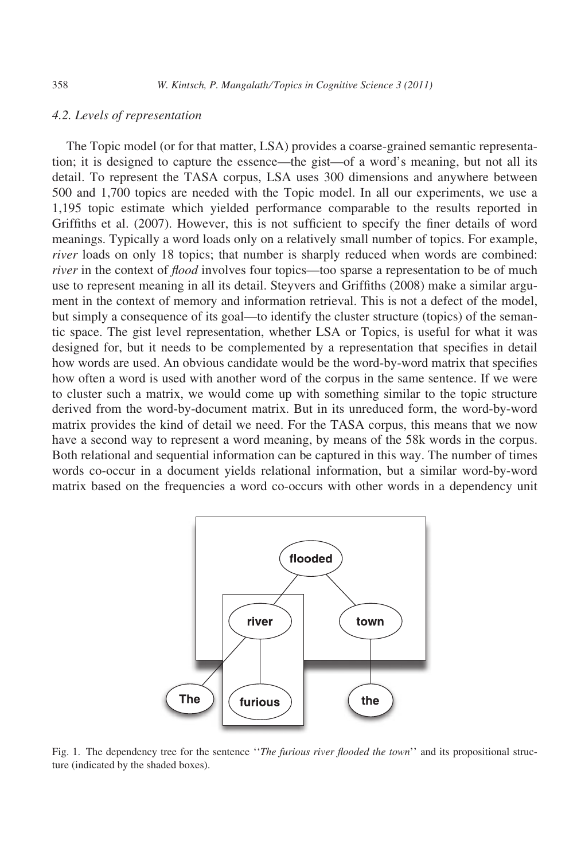#### 4.2. Levels of representation

The Topic model (or for that matter, LSA) provides a coarse-grained semantic representation; it is designed to capture the essence—the gist—of a word's meaning, but not all its detail. To represent the TASA corpus, LSA uses 300 dimensions and anywhere between 500 and 1,700 topics are needed with the Topic model. In all our experiments, we use a 1,195 topic estimate which yielded performance comparable to the results reported in Griffiths et al. (2007). However, this is not sufficient to specify the finer details of word meanings. Typically a word loads only on a relatively small number of topics. For example, river loads on only 18 topics; that number is sharply reduced when words are combined: river in the context of *flood* involves four topics—too sparse a representation to be of much use to represent meaning in all its detail. Steyvers and Griffiths (2008) make a similar argument in the context of memory and information retrieval. This is not a defect of the model, but simply a consequence of its goal—to identify the cluster structure (topics) of the semantic space. The gist level representation, whether LSA or Topics, is useful for what it was designed for, but it needs to be complemented by a representation that specifies in detail how words are used. An obvious candidate would be the word-by-word matrix that specifies how often a word is used with another word of the corpus in the same sentence. If we were to cluster such a matrix, we would come up with something similar to the topic structure derived from the word-by-document matrix. But in its unreduced form, the word-by-word matrix provides the kind of detail we need. For the TASA corpus, this means that we now have a second way to represent a word meaning, by means of the 58k words in the corpus. Both relational and sequential information can be captured in this way. The number of times words co-occur in a document yields relational information, but a similar word-by-word matrix based on the frequencies a word co-occurs with other words in a dependency unit



Fig. 1. The dependency tree for the sentence "The furious river flooded the town" and its propositional structure (indicated by the shaded boxes).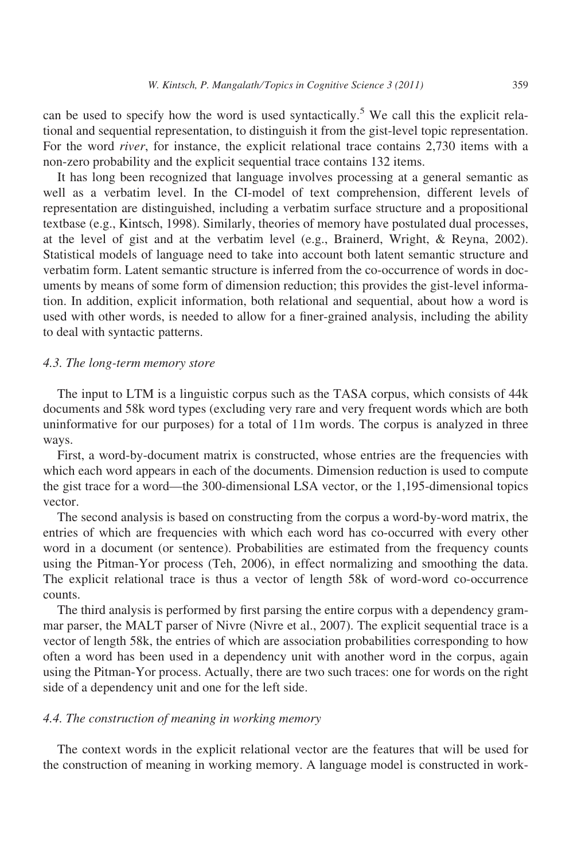can be used to specify how the word is used syntactically.<sup>5</sup> We call this the explicit relational and sequential representation, to distinguish it from the gist-level topic representation. For the word river, for instance, the explicit relational trace contains 2,730 items with a non-zero probability and the explicit sequential trace contains 132 items.

It has long been recognized that language involves processing at a general semantic as well as a verbatim level. In the CI-model of text comprehension, different levels of representation are distinguished, including a verbatim surface structure and a propositional textbase (e.g., Kintsch, 1998). Similarly, theories of memory have postulated dual processes, at the level of gist and at the verbatim level (e.g., Brainerd, Wright, & Reyna, 2002). Statistical models of language need to take into account both latent semantic structure and verbatim form. Latent semantic structure is inferred from the co-occurrence of words in documents by means of some form of dimension reduction; this provides the gist-level information. In addition, explicit information, both relational and sequential, about how a word is used with other words, is needed to allow for a finer-grained analysis, including the ability to deal with syntactic patterns.

#### 4.3. The long-term memory store

The input to LTM is a linguistic corpus such as the TASA corpus, which consists of 44k documents and 58k word types (excluding very rare and very frequent words which are both uninformative for our purposes) for a total of 11m words. The corpus is analyzed in three ways.

First, a word-by-document matrix is constructed, whose entries are the frequencies with which each word appears in each of the documents. Dimension reduction is used to compute the gist trace for a word—the 300-dimensional LSA vector, or the 1,195-dimensional topics vector.

The second analysis is based on constructing from the corpus a word-by-word matrix, the entries of which are frequencies with which each word has co-occurred with every other word in a document (or sentence). Probabilities are estimated from the frequency counts using the Pitman-Yor process (Teh, 2006), in effect normalizing and smoothing the data. The explicit relational trace is thus a vector of length 58k of word-word co-occurrence counts.

The third analysis is performed by first parsing the entire corpus with a dependency grammar parser, the MALT parser of Nivre (Nivre et al., 2007). The explicit sequential trace is a vector of length 58k, the entries of which are association probabilities corresponding to how often a word has been used in a dependency unit with another word in the corpus, again using the Pitman-Yor process. Actually, there are two such traces: one for words on the right side of a dependency unit and one for the left side.

# 4.4. The construction of meaning in working memory

The context words in the explicit relational vector are the features that will be used for the construction of meaning in working memory. A language model is constructed in work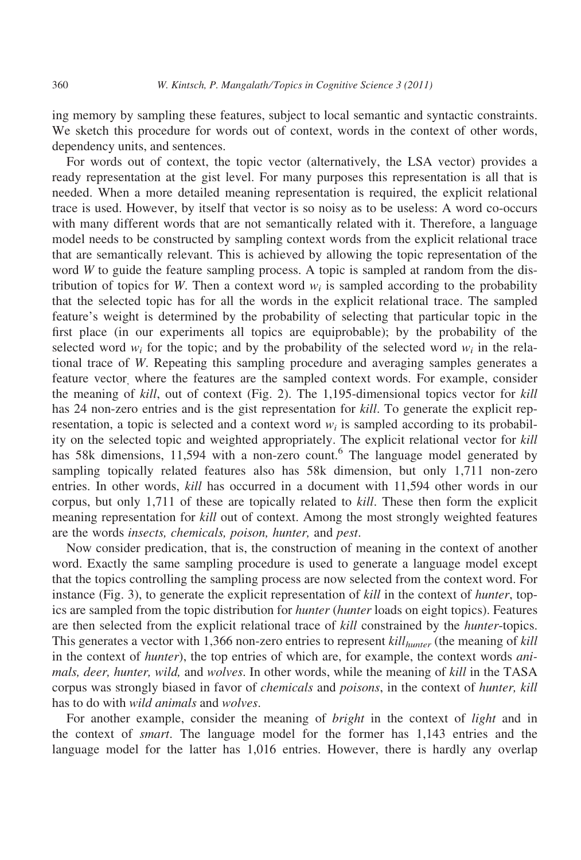ing memory by sampling these features, subject to local semantic and syntactic constraints. We sketch this procedure for words out of context, words in the context of other words, dependency units, and sentences.

For words out of context, the topic vector (alternatively, the LSA vector) provides a ready representation at the gist level. For many purposes this representation is all that is needed. When a more detailed meaning representation is required, the explicit relational trace is used. However, by itself that vector is so noisy as to be useless: A word co-occurs with many different words that are not semantically related with it. Therefore, a language model needs to be constructed by sampling context words from the explicit relational trace that are semantically relevant. This is achieved by allowing the topic representation of the word *W* to guide the feature sampling process. A topic is sampled at random from the distribution of topics for W. Then a context word  $w_i$  is sampled according to the probability that the selected topic has for all the words in the explicit relational trace. The sampled feature's weight is determined by the probability of selecting that particular topic in the first place (in our experiments all topics are equiprobable); by the probability of the selected word  $w_i$  for the topic; and by the probability of the selected word  $w_i$  in the relational trace of W. Repeating this sampling procedure and averaging samples generates a feature vector, where the features are the sampled context words. For example, consider the meaning of kill, out of context (Fig. 2). The 1,195-dimensional topics vector for kill has 24 non-zero entries and is the gist representation for *kill*. To generate the explicit representation, a topic is selected and a context word  $w_i$  is sampled according to its probability on the selected topic and weighted appropriately. The explicit relational vector for kill has 58k dimensions, 11,594 with a non-zero count.<sup>6</sup> The language model generated by sampling topically related features also has 58k dimension, but only 1,711 non-zero entries. In other words, kill has occurred in a document with 11,594 other words in our corpus, but only 1,711 of these are topically related to kill. These then form the explicit meaning representation for kill out of context. Among the most strongly weighted features are the words insects, chemicals, poison, hunter, and pest.

Now consider predication, that is, the construction of meaning in the context of another word. Exactly the same sampling procedure is used to generate a language model except that the topics controlling the sampling process are now selected from the context word. For instance (Fig. 3), to generate the explicit representation of kill in the context of *hunter*, topics are sampled from the topic distribution for *hunter* (*hunter* loads on eight topics). Features are then selected from the explicit relational trace of *kill* constrained by the *hunter*-topics. This generates a vector with 1,366 non-zero entries to represent  $kill_{hunter}$  (the meaning of kill in the context of *hunter*), the top entries of which are, for example, the context words *ani*mals, deer, hunter, wild, and wolves. In other words, while the meaning of kill in the TASA corpus was strongly biased in favor of *chemicals* and *poisons*, in the context of *hunter*, kill has to do with wild animals and wolves.

For another example, consider the meaning of *bright* in the context of *light* and in the context of smart. The language model for the former has 1,143 entries and the language model for the latter has 1,016 entries. However, there is hardly any overlap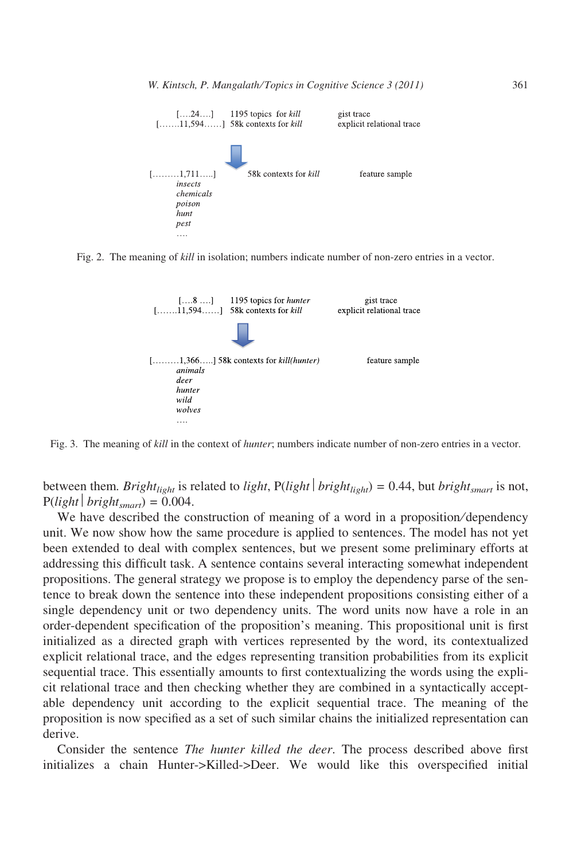

Fig. 2. The meaning of kill in isolation; numbers indicate number of non-zero entries in a vector.



Fig. 3. The meaning of kill in the context of *hunter*; numbers indicate number of non-zero entries in a vector.

between them. Bright<sub>light</sub> is related to light, P(light | bright<sub>light</sub>) = 0.44, but bright<sub>smart</sub> is not,  $P(light \mid bright_{smart}) = 0.004$ .

We have described the construction of meaning of a word in a proposition⁄ dependency unit. We now show how the same procedure is applied to sentences. The model has not yet been extended to deal with complex sentences, but we present some preliminary efforts at addressing this difficult task. A sentence contains several interacting somewhat independent propositions. The general strategy we propose is to employ the dependency parse of the sentence to break down the sentence into these independent propositions consisting either of a single dependency unit or two dependency units. The word units now have a role in an order-dependent specification of the proposition's meaning. This propositional unit is first initialized as a directed graph with vertices represented by the word, its contextualized explicit relational trace, and the edges representing transition probabilities from its explicit sequential trace. This essentially amounts to first contextualizing the words using the explicit relational trace and then checking whether they are combined in a syntactically acceptable dependency unit according to the explicit sequential trace. The meaning of the proposition is now specified as a set of such similar chains the initialized representation can derive.

Consider the sentence The hunter killed the deer. The process described above first initializes a chain Hunter->Killed->Deer. We would like this overspecified initial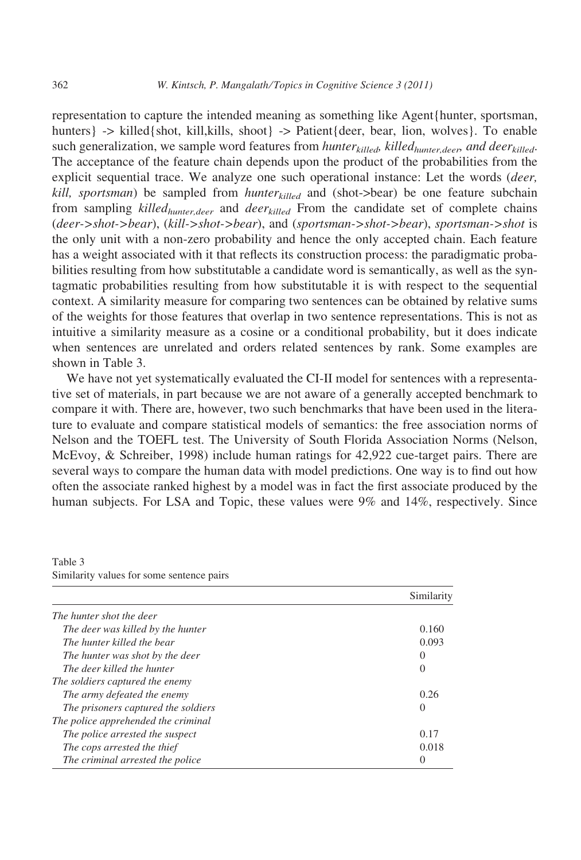representation to capture the intended meaning as something like Agent{hunter, sportsman, hunters } -> killed {shot, kill, kills, shoot} -> Patient { deer, bear, lion, wolves }. To enable such generalization, we sample word features from hunter<sub>killed</sub>, killed<sub>hunter,deer</sub>, and deer<sub>killed</sub>. The acceptance of the feature chain depends upon the product of the probabilities from the explicit sequential trace. We analyze one such operational instance: Let the words (deer, *kill, sportsman*) be sampled from *hunter<sub>killed</sub>* and (shot->bear) be one feature subchain from sampling  $killed_{hunter,deer}$  and  $deer_{killed}$  From the candidate set of complete chains (deer->shot->bear), (kill->shot->bear), and (sportsman->shot->bear), sportsman->shot is the only unit with a non-zero probability and hence the only accepted chain. Each feature has a weight associated with it that reflects its construction process: the paradigmatic probabilities resulting from how substitutable a candidate word is semantically, as well as the syntagmatic probabilities resulting from how substitutable it is with respect to the sequential context. A similarity measure for comparing two sentences can be obtained by relative sums of the weights for those features that overlap in two sentence representations. This is not as intuitive a similarity measure as a cosine or a conditional probability, but it does indicate when sentences are unrelated and orders related sentences by rank. Some examples are shown in Table 3.

We have not yet systematically evaluated the CI-II model for sentences with a representative set of materials, in part because we are not aware of a generally accepted benchmark to compare it with. There are, however, two such benchmarks that have been used in the literature to evaluate and compare statistical models of semantics: the free association norms of Nelson and the TOEFL test. The University of South Florida Association Norms (Nelson, McEvoy, & Schreiber, 1998) include human ratings for 42,922 cue-target pairs. There are several ways to compare the human data with model predictions. One way is to find out how often the associate ranked highest by a model was in fact the first associate produced by the human subjects. For LSA and Topic, these values were 9% and 14%, respectively. Since

|                                     | Similarity |
|-------------------------------------|------------|
| The hunter shot the deer            |            |
| The deer was killed by the hunter   | 0.160      |
| The hunter killed the bear          | 0.093      |
| The hunter was shot by the deer     | $\theta$   |
| The deer killed the hunter          | $\theta$   |
| The soldiers captured the enemy     |            |
| The army defeated the enemy         | 0.26       |
| The prisoners captured the soldiers | $\theta$   |
| The police apprehended the criminal |            |
| The police arrested the suspect     | 0.17       |
| The cops arrested the thief         | 0.018      |
| The criminal arrested the police    | $\theta$   |

Table 3 Similarity values for some sentence pairs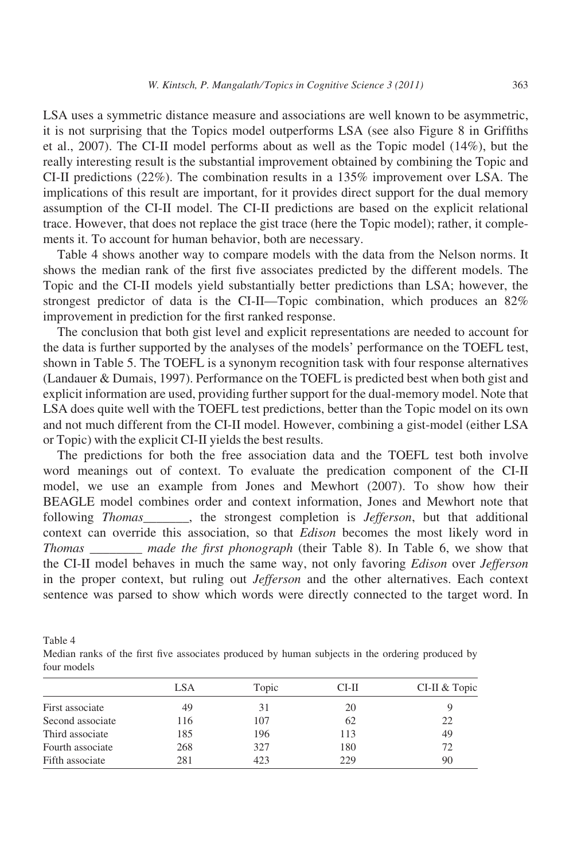LSA uses a symmetric distance measure and associations are well known to be asymmetric, it is not surprising that the Topics model outperforms LSA (see also Figure 8 in Griffiths et al., 2007). The CI-II model performs about as well as the Topic model (14%), but the really interesting result is the substantial improvement obtained by combining the Topic and CI-II predictions (22%). The combination results in a 135% improvement over LSA. The implications of this result are important, for it provides direct support for the dual memory assumption of the CI-II model. The CI-II predictions are based on the explicit relational trace. However, that does not replace the gist trace (here the Topic model); rather, it complements it. To account for human behavior, both are necessary.

Table 4 shows another way to compare models with the data from the Nelson norms. It shows the median rank of the first five associates predicted by the different models. The Topic and the CI-II models yield substantially better predictions than LSA; however, the strongest predictor of data is the CI-II—Topic combination, which produces an 82% improvement in prediction for the first ranked response.

The conclusion that both gist level and explicit representations are needed to account for the data is further supported by the analyses of the models' performance on the TOEFL test, shown in Table 5. The TOEFL is a synonym recognition task with four response alternatives (Landauer & Dumais, 1997). Performance on the TOEFL is predicted best when both gist and explicit information are used, providing further support for the dual-memory model. Note that LSA does quite well with the TOEFL test predictions, better than the Topic model on its own and not much different from the CI-II model. However, combining a gist-model (either LSA or Topic) with the explicit CI-II yields the best results.

The predictions for both the free association data and the TOEFL test both involve word meanings out of context. To evaluate the predication component of the CI-II model, we use an example from Jones and Mewhort (2007). To show how their BEAGLE model combines order and context information, Jones and Mewhort note that following *Thomas* , the strongest completion is *Jefferson*, but that additional context can override this association, so that Edison becomes the most likely word in Thomas \_\_\_\_\_\_\_\_ made the first phonograph (their Table 8). In Table 6, we show that the CI-II model behaves in much the same way, not only favoring Edison over Jefferson in the proper context, but ruling out Jefferson and the other alternatives. Each context sentence was parsed to show which words were directly connected to the target word. In

Table 4

Median ranks of the first five associates produced by human subjects in the ordering produced by four models

|                  | LSA | Topic | CI-II | CI-II & Topic |
|------------------|-----|-------|-------|---------------|
| First associate  | 49  | 31    | 20    |               |
| Second associate | 116 | 107   | 62    | 22            |
| Third associate  | 185 | 196   | 113   | 49            |
| Fourth associate | 268 | 327   | 180   | 72            |
| Fifth associate  | 281 | 423   | 229   | 90            |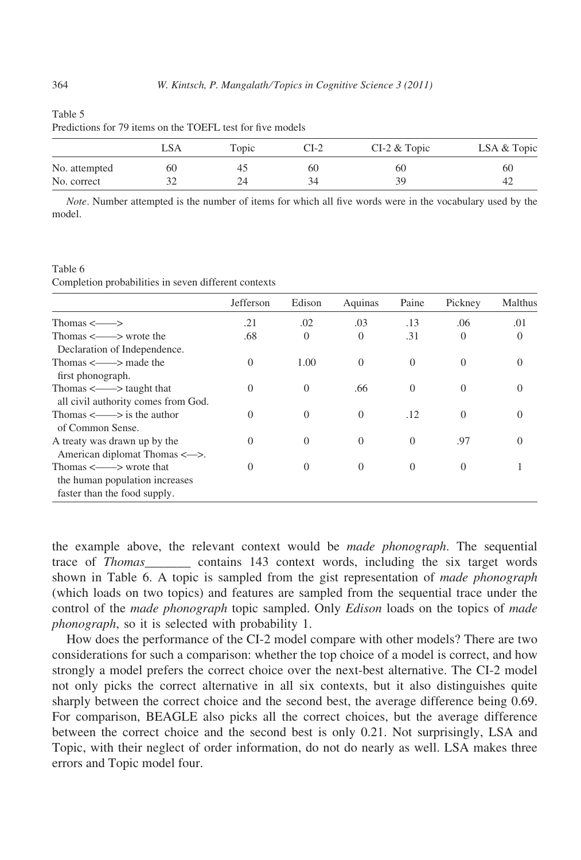| Predictions for 79 items on the TOEFL test for five models |     |       |        |                |             |  |  |
|------------------------------------------------------------|-----|-------|--------|----------------|-------------|--|--|
|                                                            | LSA | Topic | $CI-2$ | $CI-2$ & Topic | LSA & Topic |  |  |
| No. attempted                                              | 60  | 45    | 60     | 6()            | 60          |  |  |
| No. correct                                                | 30  | 24    | 34     | 39             | 42          |  |  |

Predictions for 79 items on the TOEFL test for five models

Note. Number attempted is the number of items for which all five words were in the vocabulary used by the model.

Table 6 Completion probabilities in seven different contexts

|                                               | Jefferson      | Edison         | Aquinas  | Paine    | Pickney  | Malthus  |
|-----------------------------------------------|----------------|----------------|----------|----------|----------|----------|
| Thomas $\leq$ $\Longrightarrow$               | .21            | .02            | .03      | .13      | .06      | .01      |
| Thomas $\leq$ wrote the                       | .68            | 0              | $\theta$ | .31      | 0        | $\theta$ |
| Declaration of Independence.                  |                |                |          |          |          |          |
| Thomas $\leq$ $\Longrightarrow$ made the      | $\overline{0}$ | 1.00           | $\Omega$ | $\Omega$ | $\Omega$ | $\theta$ |
| first phonograph.                             |                |                |          |          |          |          |
| Thomas $\leftarrow \rightarrow$ taught that   | $\Omega$       | $\Omega$       | .66      | $\Omega$ | $\Omega$ |          |
| all civil authority comes from God.           |                |                |          |          |          |          |
| Thomas $\leftarrow \rightarrow$ is the author | $\theta$       | $\Omega$       | $\Omega$ | .12      | $\Omega$ | $\Omega$ |
| of Common Sense.                              |                |                |          |          |          |          |
| A treaty was drawn up by the                  | $\overline{0}$ | $\mathbf{0}$   | $\Omega$ | $\Omega$ | .97      | $\theta$ |
| American diplomat Thomas <—>.                 |                |                |          |          |          |          |
| Thomas $\leq$ wrote that                      | $\overline{0}$ | $\overline{0}$ | $\Omega$ | $\Omega$ | $\Omega$ |          |
| the human population increases                |                |                |          |          |          |          |
| faster than the food supply.                  |                |                |          |          |          |          |

the example above, the relevant context would be made phonograph. The sequential trace of Thomas\_\_\_\_\_\_\_ contains 143 context words, including the six target words shown in Table 6. A topic is sampled from the gist representation of *made phonograph* (which loads on two topics) and features are sampled from the sequential trace under the control of the *made phonograph* topic sampled. Only *Edison* loads on the topics of *made* phonograph, so it is selected with probability 1.

How does the performance of the CI-2 model compare with other models? There are two considerations for such a comparison: whether the top choice of a model is correct, and how strongly a model prefers the correct choice over the next-best alternative. The CI-2 model not only picks the correct alternative in all six contexts, but it also distinguishes quite sharply between the correct choice and the second best, the average difference being 0.69. For comparison, BEAGLE also picks all the correct choices, but the average difference between the correct choice and the second best is only 0.21. Not surprisingly, LSA and Topic, with their neglect of order information, do not do nearly as well. LSA makes three errors and Topic model four.

Table 5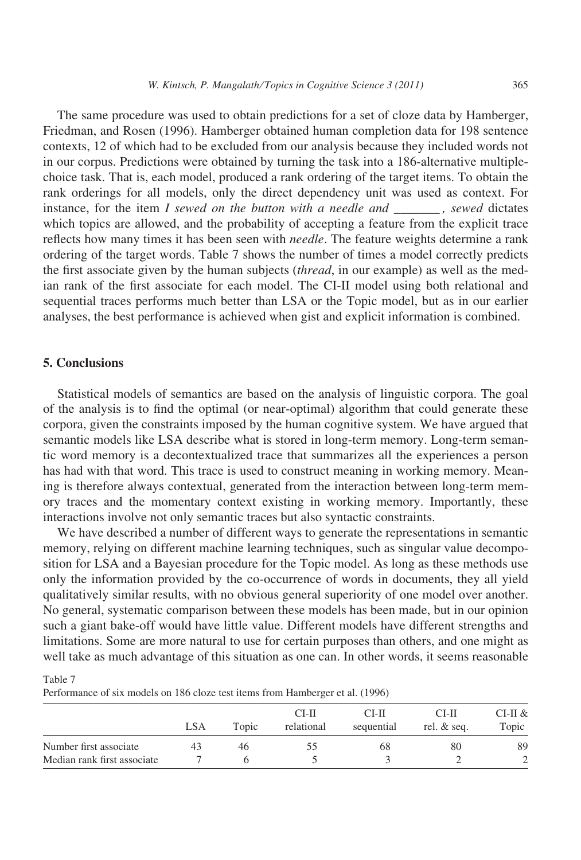The same procedure was used to obtain predictions for a set of cloze data by Hamberger, Friedman, and Rosen (1996). Hamberger obtained human completion data for 198 sentence contexts, 12 of which had to be excluded from our analysis because they included words not in our corpus. Predictions were obtained by turning the task into a 186-alternative multiplechoice task. That is, each model, produced a rank ordering of the target items. To obtain the rank orderings for all models, only the direct dependency unit was used as context. For instance, for the item I sewed on the button with a needle and , sewed dictates which topics are allowed, and the probability of accepting a feature from the explicit trace reflects how many times it has been seen with *needle*. The feature weights determine a rank ordering of the target words. Table 7 shows the number of times a model correctly predicts the first associate given by the human subjects *(thread,* in our example) as well as the median rank of the first associate for each model. The CI-II model using both relational and sequential traces performs much better than LSA or the Topic model, but as in our earlier analyses, the best performance is achieved when gist and explicit information is combined.

#### 5. Conclusions

Statistical models of semantics are based on the analysis of linguistic corpora. The goal of the analysis is to find the optimal (or near-optimal) algorithm that could generate these corpora, given the constraints imposed by the human cognitive system. We have argued that semantic models like LSA describe what is stored in long-term memory. Long-term semantic word memory is a decontextualized trace that summarizes all the experiences a person has had with that word. This trace is used to construct meaning in working memory. Meaning is therefore always contextual, generated from the interaction between long-term memory traces and the momentary context existing in working memory. Importantly, these interactions involve not only semantic traces but also syntactic constraints.

We have described a number of different ways to generate the representations in semantic memory, relying on different machine learning techniques, such as singular value decomposition for LSA and a Bayesian procedure for the Topic model. As long as these methods use only the information provided by the co-occurrence of words in documents, they all yield qualitatively similar results, with no obvious general superiority of one model over another. No general, systematic comparison between these models has been made, but in our opinion such a giant bake-off would have little value. Different models have different strengths and limitations. Some are more natural to use for certain purposes than others, and one might as well take as much advantage of this situation as one can. In other words, it seems reasonable

Table 7 Performance of six models on 186 cloze test items from Hamberger et al. (1996)

|                             |     |       | CI-II      | CI-II      | CI-II       | $CI-II &$ |
|-----------------------------|-----|-------|------------|------------|-------------|-----------|
|                             | LSA | Topic | relational | sequential | rel. & seq. | Topic     |
| Number first associate      | 43  | 46    |            | 68         | 80          | 89        |
| Median rank first associate |     |       |            |            |             |           |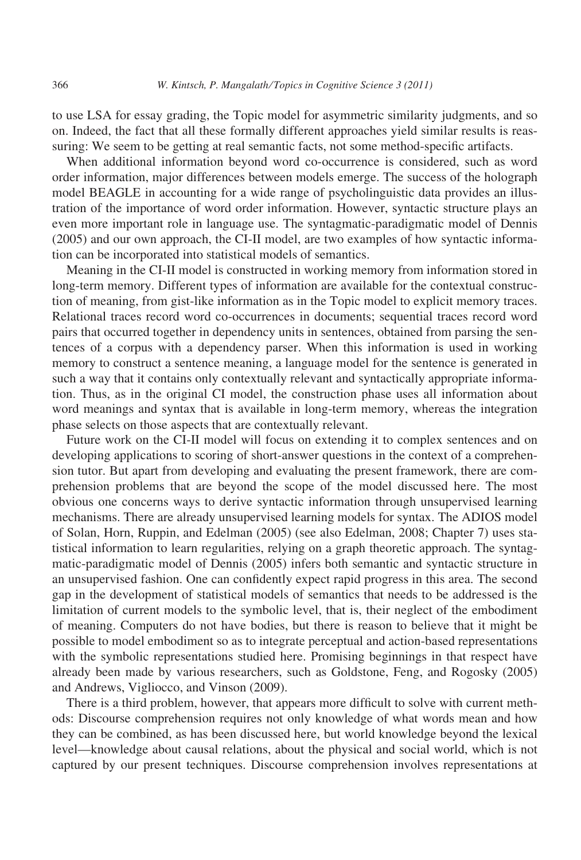to use LSA for essay grading, the Topic model for asymmetric similarity judgments, and so on. Indeed, the fact that all these formally different approaches yield similar results is reassuring: We seem to be getting at real semantic facts, not some method-specific artifacts.

When additional information beyond word co-occurrence is considered, such as word order information, major differences between models emerge. The success of the holograph model BEAGLE in accounting for a wide range of psycholinguistic data provides an illustration of the importance of word order information. However, syntactic structure plays an even more important role in language use. The syntagmatic-paradigmatic model of Dennis (2005) and our own approach, the CI-II model, are two examples of how syntactic information can be incorporated into statistical models of semantics.

Meaning in the CI-II model is constructed in working memory from information stored in long-term memory. Different types of information are available for the contextual construction of meaning, from gist-like information as in the Topic model to explicit memory traces. Relational traces record word co-occurrences in documents; sequential traces record word pairs that occurred together in dependency units in sentences, obtained from parsing the sentences of a corpus with a dependency parser. When this information is used in working memory to construct a sentence meaning, a language model for the sentence is generated in such a way that it contains only contextually relevant and syntactically appropriate information. Thus, as in the original CI model, the construction phase uses all information about word meanings and syntax that is available in long-term memory, whereas the integration phase selects on those aspects that are contextually relevant.

Future work on the CI-II model will focus on extending it to complex sentences and on developing applications to scoring of short-answer questions in the context of a comprehension tutor. But apart from developing and evaluating the present framework, there are comprehension problems that are beyond the scope of the model discussed here. The most obvious one concerns ways to derive syntactic information through unsupervised learning mechanisms. There are already unsupervised learning models for syntax. The ADIOS model of Solan, Horn, Ruppin, and Edelman (2005) (see also Edelman, 2008; Chapter 7) uses statistical information to learn regularities, relying on a graph theoretic approach. The syntagmatic-paradigmatic model of Dennis (2005) infers both semantic and syntactic structure in an unsupervised fashion. One can confidently expect rapid progress in this area. The second gap in the development of statistical models of semantics that needs to be addressed is the limitation of current models to the symbolic level, that is, their neglect of the embodiment of meaning. Computers do not have bodies, but there is reason to believe that it might be possible to model embodiment so as to integrate perceptual and action-based representations with the symbolic representations studied here. Promising beginnings in that respect have already been made by various researchers, such as Goldstone, Feng, and Rogosky (2005) and Andrews, Vigliocco, and Vinson (2009).

There is a third problem, however, that appears more difficult to solve with current methods: Discourse comprehension requires not only knowledge of what words mean and how they can be combined, as has been discussed here, but world knowledge beyond the lexical level—knowledge about causal relations, about the physical and social world, which is not captured by our present techniques. Discourse comprehension involves representations at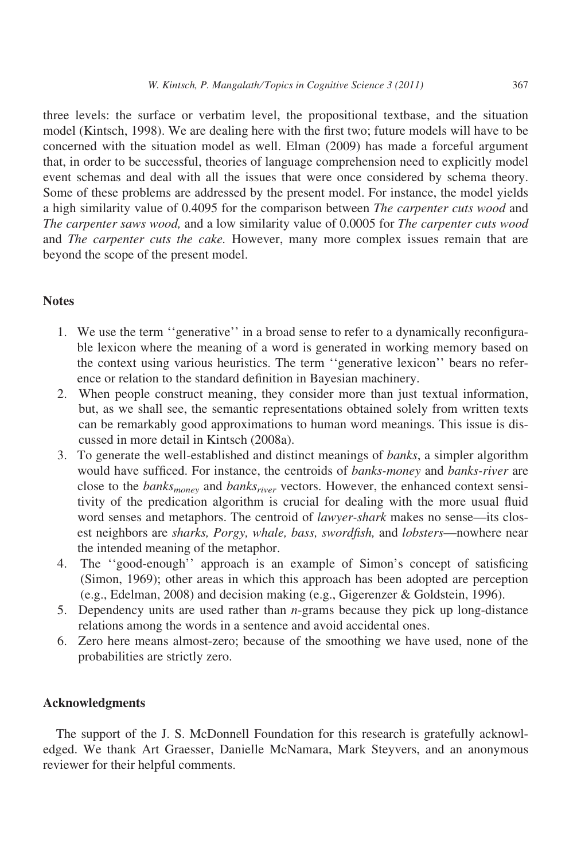three levels: the surface or verbatim level, the propositional textbase, and the situation model (Kintsch, 1998). We are dealing here with the first two; future models will have to be concerned with the situation model as well. Elman (2009) has made a forceful argument that, in order to be successful, theories of language comprehension need to explicitly model event schemas and deal with all the issues that were once considered by schema theory. Some of these problems are addressed by the present model. For instance, the model yields a high similarity value of 0.4095 for the comparison between The carpenter cuts wood and The carpenter saws wood, and a low similarity value of 0.0005 for The carpenter cuts wood and *The carpenter cuts the cake*. However, many more complex issues remain that are beyond the scope of the present model.

## **Notes**

- 1. We use the term ''generative'' in a broad sense to refer to a dynamically reconfigurable lexicon where the meaning of a word is generated in working memory based on the context using various heuristics. The term ''generative lexicon'' bears no reference or relation to the standard definition in Bayesian machinery.
- 2. When people construct meaning, they consider more than just textual information, but, as we shall see, the semantic representations obtained solely from written texts can be remarkably good approximations to human word meanings. This issue is discussed in more detail in Kintsch (2008a).
- 3. To generate the well-established and distinct meanings of banks, a simpler algorithm would have sufficed. For instance, the centroids of *banks-money* and *banks-river* are close to the  $banks_{money}$  and  $banks_{river}$  vectors. However, the enhanced context sensitivity of the predication algorithm is crucial for dealing with the more usual fluid word senses and metaphors. The centroid of *lawyer-shark* makes no sense—its closest neighbors are *sharks*, *Porgy, whale, bass, swordfish,* and *lobsters*—nowhere near the intended meaning of the metaphor.
- 4. The ''good-enough'' approach is an example of Simon's concept of satisficing (Simon, 1969); other areas in which this approach has been adopted are perception (e.g., Edelman, 2008) and decision making (e.g., Gigerenzer & Goldstein, 1996).
- 5. Dependency units are used rather than  $n$ -grams because they pick up long-distance relations among the words in a sentence and avoid accidental ones.
- 6. Zero here means almost-zero; because of the smoothing we have used, none of the probabilities are strictly zero.

#### Acknowledgments

The support of the J. S. McDonnell Foundation for this research is gratefully acknowledged. We thank Art Graesser, Danielle McNamara, Mark Steyvers, and an anonymous reviewer for their helpful comments.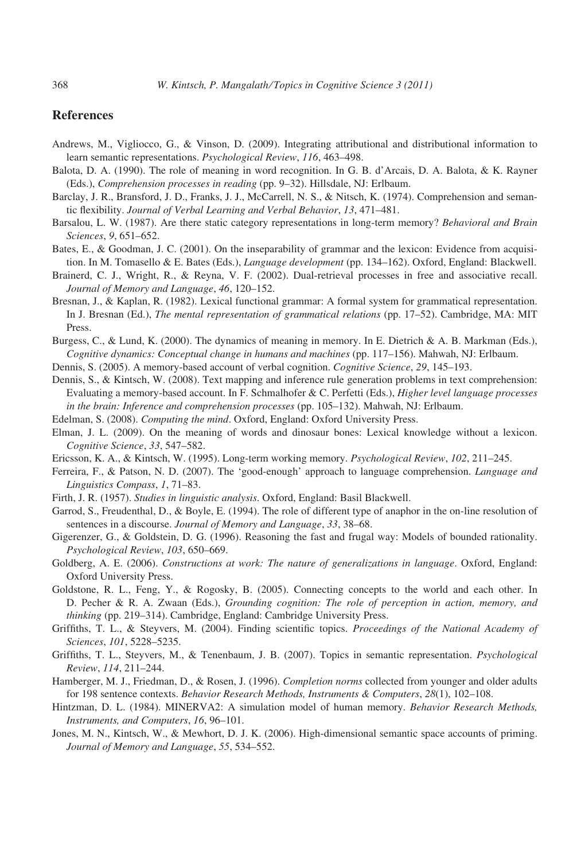#### **References**

- Andrews, M., Vigliocco, G., & Vinson, D. (2009). Integrating attributional and distributional information to learn semantic representations. Psychological Review, 116, 463–498.
- Balota, D. A. (1990). The role of meaning in word recognition. In G. B. d'Arcais, D. A. Balota, & K. Rayner (Eds.), Comprehension processes in reading (pp. 9–32). Hillsdale, NJ: Erlbaum.
- Barclay, J. R., Bransford, J. D., Franks, J. J., McCarrell, N. S., & Nitsch, K. (1974). Comprehension and semantic flexibility. Journal of Verbal Learning and Verbal Behavior, 13, 471–481.
- Barsalou, L. W. (1987). Are there static category representations in long-term memory? Behavioral and Brain Sciences, 9, 651–652.
- Bates, E., & Goodman, J. C. (2001). On the inseparability of grammar and the lexicon: Evidence from acquisition. In M. Tomasello & E. Bates (Eds.), Language development (pp. 134-162). Oxford, England: Blackwell.
- Brainerd, C. J., Wright, R., & Reyna, V. F. (2002). Dual-retrieval processes in free and associative recall. Journal of Memory and Language, 46, 120–152.
- Bresnan, J., & Kaplan, R. (1982). Lexical functional grammar: A formal system for grammatical representation. In J. Bresnan (Ed.), *The mental representation of grammatical relations* (pp. 17–52). Cambridge, MA: MIT Press.
- Burgess, C., & Lund, K. (2000). The dynamics of meaning in memory. In E. Dietrich & A. B. Markman (Eds.), Cognitive dynamics: Conceptual change in humans and machines (pp. 117–156). Mahwah, NJ: Erlbaum.
- Dennis, S. (2005). A memory-based account of verbal cognition. Cognitive Science, 29, 145–193.
- Dennis, S., & Kintsch, W. (2008). Text mapping and inference rule generation problems in text comprehension: Evaluating a memory-based account. In F. Schmalhofer & C. Perfetti (Eds.), Higher level language processes in the brain: Inference and comprehension processes (pp. 105–132). Mahwah, NJ: Erlbaum.
- Edelman, S. (2008). Computing the mind. Oxford, England: Oxford University Press.
- Elman, J. L. (2009). On the meaning of words and dinosaur bones: Lexical knowledge without a lexicon. Cognitive Science, 33, 547–582.
- Ericsson, K. A., & Kintsch, W. (1995). Long-term working memory. Psychological Review, 102, 211–245.
- Ferreira, F., & Patson, N. D. (2007). The 'good-enough' approach to language comprehension. Language and Linguistics Compass, 1, 71–83.
- Firth, J. R. (1957). Studies in linguistic analysis. Oxford, England: Basil Blackwell.
- Garrod, S., Freudenthal, D., & Boyle, E. (1994). The role of different type of anaphor in the on-line resolution of sentences in a discourse. Journal of Memory and Language, 33, 38–68.
- Gigerenzer, G., & Goldstein, D. G. (1996). Reasoning the fast and frugal way: Models of bounded rationality. Psychological Review, 103, 650–669.
- Goldberg, A. E. (2006). Constructions at work: The nature of generalizations in language. Oxford, England: Oxford University Press.
- Goldstone, R. L., Feng, Y., & Rogosky, B. (2005). Connecting concepts to the world and each other. In D. Pecher & R. A. Zwaan (Eds.), Grounding cognition: The role of perception in action, memory, and thinking (pp. 219–314). Cambridge, England: Cambridge University Press.
- Griffiths, T. L., & Steyvers, M. (2004). Finding scientific topics. Proceedings of the National Academy of Sciences, 101, 5228–5235.
- Griffiths, T. L., Steyvers, M., & Tenenbaum, J. B. (2007). Topics in semantic representation. Psychological Review, 114, 211–244.
- Hamberger, M. J., Friedman, D., & Rosen, J. (1996). Completion norms collected from younger and older adults for 198 sentence contexts. Behavior Research Methods, Instruments & Computers, 28(1), 102–108.
- Hintzman, D. L. (1984). MINERVA2: A simulation model of human memory. Behavior Research Methods, Instruments, and Computers, 16, 96–101.
- Jones, M. N., Kintsch, W., & Mewhort, D. J. K. (2006). High-dimensional semantic space accounts of priming. Journal of Memory and Language, 55, 534–552.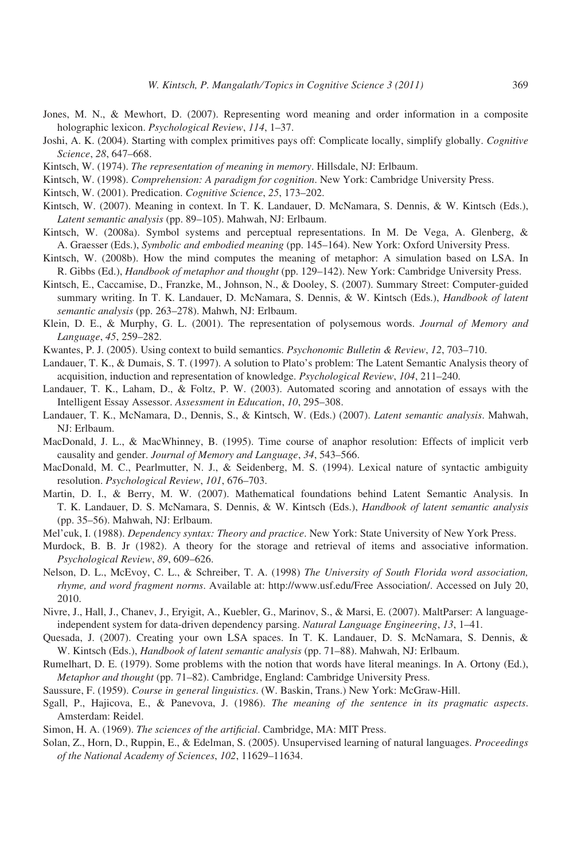- Jones, M. N., & Mewhort, D. (2007). Representing word meaning and order information in a composite holographic lexicon. Psychological Review, 114, 1–37.
- Joshi, A. K. (2004). Starting with complex primitives pays off: Complicate locally, simplify globally. Cognitive Science, 28, 647–668.
- Kintsch, W. (1974). The representation of meaning in memory. Hillsdale, NJ: Erlbaum.
- Kintsch, W. (1998). Comprehension: A paradigm for cognition. New York: Cambridge University Press.
- Kintsch, W. (2001). Predication. Cognitive Science, 25, 173–202.
- Kintsch, W. (2007). Meaning in context. In T. K. Landauer, D. McNamara, S. Dennis, & W. Kintsch (Eds.), Latent semantic analysis (pp. 89–105). Mahwah, NJ: Erlbaum.
- Kintsch, W. (2008a). Symbol systems and perceptual representations. In M. De Vega, A. Glenberg, & A. Graesser (Eds.), Symbolic and embodied meaning (pp. 145–164). New York: Oxford University Press.
- Kintsch, W. (2008b). How the mind computes the meaning of metaphor: A simulation based on LSA. In R. Gibbs (Ed.), *Handbook of metaphor and thought* (pp. 129–142). New York: Cambridge University Press.
- Kintsch, E., Caccamise, D., Franzke, M., Johnson, N., & Dooley, S. (2007). Summary Street: Computer-guided summary writing. In T. K. Landauer, D. McNamara, S. Dennis, & W. Kintsch (Eds.), *Handbook of latent* semantic analysis (pp. 263–278). Mahwh, NJ: Erlbaum.
- Klein, D. E., & Murphy, G. L. (2001). The representation of polysemous words. Journal of Memory and Language, 45, 259–282.
- Kwantes, P. J. (2005). Using context to build semantics. Psychonomic Bulletin & Review, 12, 703–710.
- Landauer, T. K., & Dumais, S. T. (1997). A solution to Plato's problem: The Latent Semantic Analysis theory of acquisition, induction and representation of knowledge. Psychological Review, 104, 211–240.
- Landauer, T. K., Laham, D., & Foltz, P. W. (2003). Automated scoring and annotation of essays with the Intelligent Essay Assessor. Assessment in Education, 10, 295–308.
- Landauer, T. K., McNamara, D., Dennis, S., & Kintsch, W. (Eds.) (2007). Latent semantic analysis. Mahwah, NJ: Erlbaum.
- MacDonald, J. L., & MacWhinney, B. (1995). Time course of anaphor resolution: Effects of implicit verb causality and gender. Journal of Memory and Language, 34, 543–566.
- MacDonald, M. C., Pearlmutter, N. J., & Seidenberg, M. S. (1994). Lexical nature of syntactic ambiguity resolution. Psychological Review, 101, 676–703.
- Martin, D. I., & Berry, M. W. (2007). Mathematical foundations behind Latent Semantic Analysis. In T. K. Landauer, D. S. McNamara, S. Dennis, & W. Kintsch (Eds.), Handbook of latent semantic analysis (pp. 35–56). Mahwah, NJ: Erlbaum.
- Mel'cuk, I. (1988). Dependency syntax: Theory and practice. New York: State University of New York Press.
- Murdock, B. B. Jr (1982). A theory for the storage and retrieval of items and associative information. Psychological Review, 89, 609–626.
- Nelson, D. L., McEvoy, C. L., & Schreiber, T. A. (1998) The University of South Florida word association, rhyme, and word fragment norms. Available at: http://www.usf.edu/Free Association/. Accessed on July 20, 2010.
- Nivre, J., Hall, J., Chanev, J., Eryigit, A., Kuebler, G., Marinov, S., & Marsi, E. (2007). MaltParser: A languageindependent system for data-driven dependency parsing. Natural Language Engineering, 13, 1–41.
- Quesada, J. (2007). Creating your own LSA spaces. In T. K. Landauer, D. S. McNamara, S. Dennis, & W. Kintsch (Eds.), Handbook of latent semantic analysis (pp. 71–88). Mahwah, NJ: Erlbaum.
- Rumelhart, D. E. (1979). Some problems with the notion that words have literal meanings. In A. Ortony (Ed.), Metaphor and thought (pp. 71–82). Cambridge, England: Cambridge University Press.
- Saussure, F. (1959). Course in general linguistics. (W. Baskin, Trans.) New York: McGraw-Hill.
- Sgall, P., Hajicova, E., & Panevova, J. (1986). The meaning of the sentence in its pragmatic aspects. Amsterdam: Reidel.
- Simon, H. A. (1969). The sciences of the artificial. Cambridge, MA: MIT Press.
- Solan, Z., Horn, D., Ruppin, E., & Edelman, S. (2005). Unsupervised learning of natural languages. Proceedings of the National Academy of Sciences, 102, 11629–11634.